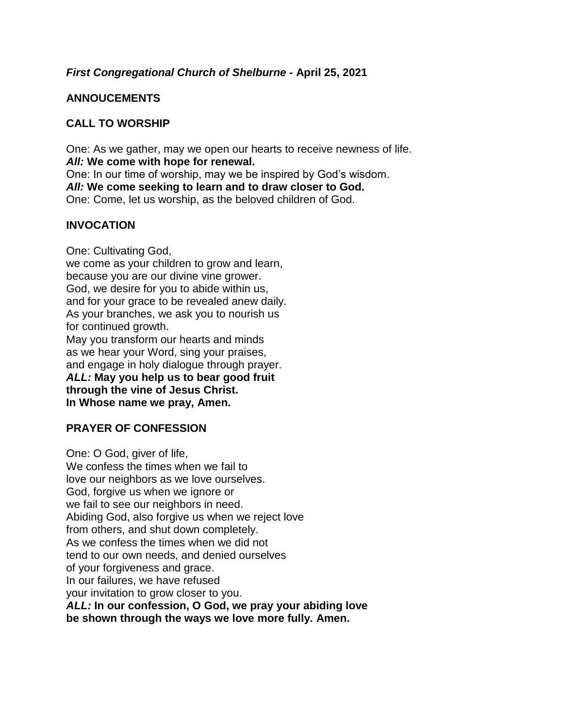### *First Congregational Church of Shelburne* **- April 25, 2021**

## **ANNOUCEMENTS**

## **CALL TO WORSHIP**

One: As we gather, may we open our hearts to receive newness of life. *All:* **We come with hope for renewal.** One: In our time of worship, may we be inspired by God's wisdom. *All:* **We come seeking to learn and to draw closer to God.** One: Come, let us worship, as the beloved children of God.

## **INVOCATION**

One: Cultivating God, we come as your children to grow and learn, because you are our divine vine grower. God, we desire for you to abide within us, and for your grace to be revealed anew daily. As your branches, we ask you to nourish us for continued growth. May you transform our hearts and minds as we hear your Word, sing your praises, and engage in holy dialogue through prayer. *ALL:* **May you help us to bear good fruit through the vine of Jesus Christ. In Whose name we pray, Amen.**

# **PRAYER OF CONFESSION**

One: O God, giver of life, We confess the times when we fail to love our neighbors as we love ourselves. God, forgive us when we ignore or we fail to see our neighbors in need. Abiding God, also forgive us when we reject love from others, and shut down completely. As we confess the times when we did not tend to our own needs, and denied ourselves of your forgiveness and grace. In our failures, we have refused your invitation to grow closer to you. *ALL:* **In our confession, O God, we pray your abiding love be shown through the ways we love more fully. Amen.**